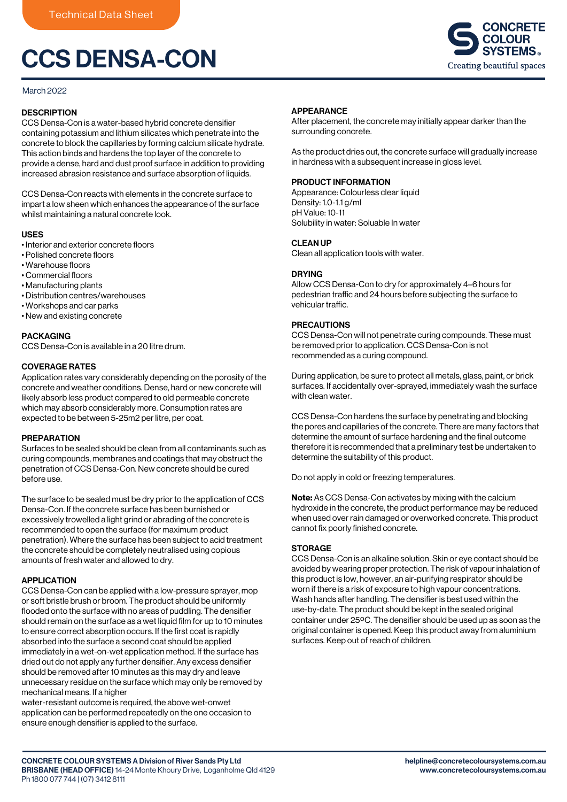# CCS DENSA-CON

# March 2022

# **DESCRIPTION**

CCS Densa-Con is a water-based hybrid concrete densifier containing potassium and lithium silicates which penetrate into the concrete to block the capillaries by forming calcium silicate hydrate. This action binds and hardens the top layer of the concrete to provide a dense, hard and dust proof surface in addition to providing increased abrasion resistance and surface absorption of liquids.

CCS Densa-Con reacts with elements in the concrete surface to impart a low sheen which enhances the appearance of the surface whilst maintaining a natural concrete look.

# USES

- Interior and exterior concrete floors
- Polished concrete floors
- Warehouse floors
- Commercial floors
- Manufacturing plants
- Distribution centres/warehouses
- Workshops and car parks
- New and existing concrete

# **PACKAGING**

CCS Densa-Con is available in a 20 litre drum.

# COVERAGE RATES

Application rates vary considerably depending on the porosity of the concrete and weather conditions. Dense, hard or new concrete will likely absorb less product compared to old permeable concrete which may absorb considerably more. Consumption rates are expected to be between 5-25m2 per litre, per coat.

# PREPARATION

Surfaces to be sealed should be clean from all contaminants such as curing compounds, membranes and coatings that may obstruct the penetration of CCS Densa-Con. New concrete should be cured before use.

The surface to be sealed must be dry prior to the application of CCS Densa-Con. If the concrete surface has been burnished or excessively trowelled a light grind or abrading of the concrete is recommended to open the surface (for maximum product penetration). Where the surface has been subject to acid treatment the concrete should be completely neutralised using copious amounts of fresh water and allowed to dry.

# APPLICATION

CCS Densa-Con can be applied with a low-pressure sprayer, mop or soft bristle brush or broom. The product should be uniformly flooded onto the surface with no areas of puddling. The densifier should remain on the surface as a wet liquid film for up to 10 minutes to ensure correct absorption occurs. If the first coat is rapidly absorbed into the surface a second coat should be applied immediately in a wet-on-wet application method. If the surface has dried out do not apply any further densifier. Any excess densifier should be removed after 10 minutes as this may dry and leave unnecessary residue on the surface which may only be removed by mechanical means. If a higher

water-resistant outcome is required, the above wet-onwet application can be performed repeatedly on the one occasion to ensure enough densifier is applied to the surface.



# APPEARANCE

After placement, the concrete may initially appear darker than the surrounding concrete.

As the product dries out, the concrete surface will gradually increase in hardness with a subsequent increase in gloss level.

# PRODUCT INFORMATION

Appearance: Colourless clear liquid Density: 1.0-1.1 g/ml pH Value: 10-11 Solubility in water: Soluable In water

# CLEAN UP

Clean all application tools with water.

# DRYING

Allow CCS Densa-Con to dry for approximately 4–6 hours for pedestrian traffic and 24 hours before subjecting the surface to vehicular traffic.

# PRECAUTIONS

CCS Densa-Con will not penetrate curing compounds. These must be removed prior to application. CCS Densa-Con is not recommended as a curing compound.

During application, be sure to protect all metals, glass, paint, or brick surfaces. If accidentally over-sprayed, immediately wash the surface with clean water.

CCS Densa-Con hardens the surface by penetrating and blocking the pores and capillaries of the concrete. There are many factors that determine the amount of surface hardening and the final outcome therefore it is recommended that a preliminary test be undertaken to determine the suitability of this product.

Do not apply in cold or freezing temperatures.

Note: As CCS Densa-Con activates by mixing with the calcium hydroxide in the concrete, the product performance may be reduced when used over rain damaged or overworked concrete. This product cannot fix poorly finished concrete.

# **STORAGE**

CCS Densa-Con is an alkaline solution. Skin or eye contact should be avoided by wearing proper protection. The risk of vapour inhalation of this product is low, however, an air-purifying respirator should be worn if there is a risk of exposure to high vapour concentrations. Wash hands after handling. The densifier is best used within the use-by-date. The product should be kept in the sealed original container under 25ºC. The densifier should be used up as soon as the original container is opened. Keep this product away from aluminium surfaces. Keep out of reach of children.